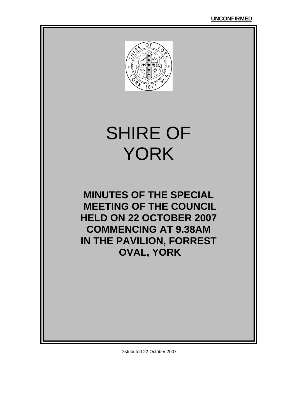

# SHIRE OF YORK

**MINUTES OF THE SPECIAL MEETING OF THE COUNCIL HELD ON 22 OCTOBER 2007 COMMENCING AT 9.38AM IN THE PAVILION, FORREST OVAL, YORK** 

Distributed 22 October 2007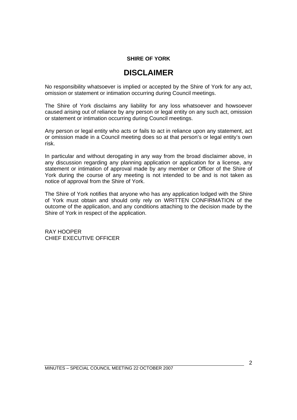#### **SHIRE OF YORK**

### **DISCLAIMER**

No responsibility whatsoever is implied or accepted by the Shire of York for any act, omission or statement or intimation occurring during Council meetings.

The Shire of York disclaims any liability for any loss whatsoever and howsoever caused arising out of reliance by any person or legal entity on any such act, omission or statement or intimation occurring during Council meetings.

Any person or legal entity who acts or fails to act in reliance upon any statement, act or omission made in a Council meeting does so at that person's or legal entity's own risk.

In particular and without derogating in any way from the broad disclaimer above, in any discussion regarding any planning application or application for a license, any statement or intimation of approval made by any member or Officer of the Shire of York during the course of any meeting is not intended to be and is not taken as notice of approval from the Shire of York.

The Shire of York notifies that anyone who has any application lodged with the Shire of York must obtain and should only rely on WRITTEN CONFIRMATION of the outcome of the application, and any conditions attaching to the decision made by the Shire of York in respect of the application.

RAY HOOPER CHIEF EXECUTIVE OFFICER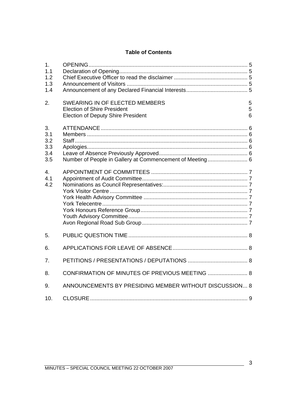#### **Table of Contents**

| 1.<br>1.1<br>1.2<br>1.3<br>1.4<br>2.  | SWEARING IN OF ELECTED MEMBERS                                                  | 5      |
|---------------------------------------|---------------------------------------------------------------------------------|--------|
|                                       | <b>Election of Shire President</b><br><b>Election of Deputy Shire President</b> | 5<br>6 |
| 3.<br>3.1<br>3.2<br>3.3<br>3.4<br>3.5 |                                                                                 |        |
| $\overline{4}$ .<br>4.1<br>4.2        |                                                                                 |        |
| 5.                                    |                                                                                 |        |
| 6.                                    |                                                                                 |        |
| 7.                                    |                                                                                 |        |
| 8.                                    | CONFIRMATION OF MINUTES OF PREVIOUS MEETING  8                                  |        |
| 9.                                    | ANNOUNCEMENTS BY PRESIDING MEMBER WITHOUT DISCUSSION 8                          |        |
| 10.                                   |                                                                                 |        |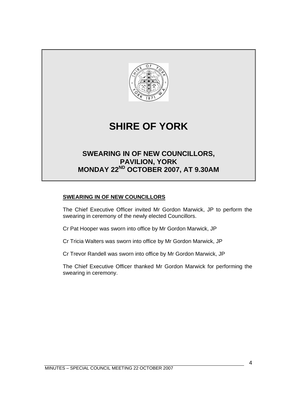

#### **SWEARING IN OF NEW COUNCILLORS**

The Chief Executive Officer invited Mr Gordon Marwick, JP to perform the swearing in ceremony of the newly elected Councillors.

Cr Pat Hooper was sworn into office by Mr Gordon Marwick, JP

Cr Tricia Walters was sworn into office by Mr Gordon Marwick, JP

Cr Trevor Randell was sworn into office by Mr Gordon Marwick, JP

The Chief Executive Officer thanked Mr Gordon Marwick for performing the swearing in ceremony.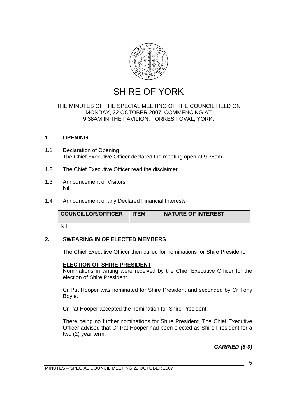

## SHIRE OF YORK

#### THE MINUTES OF THE SPECIAL MEETING OF THE COUNCIL HELD ON MONDAY, 22 OCTOBER 2007, COMMENCING AT 9.38AM IN THE PAVILION, FORREST OVAL, YORK.

#### **1. OPENING**

- 1.1 Declaration of Opening The Chief Executive Officer declared the meeting open at 9.38am.
- 1.2 The Chief Executive Officer read the disclaimer
- 1.3 Announcement of Visitors Nil.
- 1.4 Announcement of any Declared Financial Interests

| <b>COUNCILLOR/OFFICER</b> | <b>ITEM</b> | <b>NATURE OF INTEREST</b> |
|---------------------------|-------------|---------------------------|
|                           |             |                           |

#### **2. SWEARING IN OF ELECTED MEMBERS**

The Chief Executive Officer then called for nominations for Shire President.

#### **ELECTION OF SHIRE PRESIDENT**

 Nominations in writing were received by the Chief Executive Officer for the election of Shire President.

 Cr Pat Hooper was nominated for Shire President and seconded by Cr Tony Boyle.

Cr Pat Hooper accepted the nomination for Shire President.

 There being no further nominations for Shire President, The Chief Executive Officer advised that Cr Pat Hooper had been elected as Shire President for a two (2) year term.

*CARRIED (5-0)*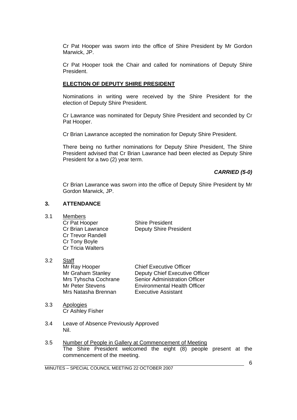Cr Pat Hooper was sworn into the office of Shire President by Mr Gordon Marwick, JP.

 Cr Pat Hooper took the Chair and called for nominations of Deputy Shire President.

#### **ELECTION OF DEPUTY SHIRE PRESIDENT**

 Nominations in writing were received by the Shire President for the election of Deputy Shire President.

 Cr Lawrance was nominated for Deputy Shire President and seconded by Cr Pat Hooper.

Cr Brian Lawrance accepted the nomination for Deputy Shire President.

 There being no further nominations for Deputy Shire President, The Shire President advised that Cr Brian Lawrance had been elected as Deputy Shire President for a two (2) year term.

#### *CARRIED (5-0)*

 Cr Brian Lawrance was sworn into the office of Deputy Shire President by Mr Gordon Marwick, JP.

#### **3. ATTENDANCE**

3.1 Members Cr Pat Hooper Shire President Cr Trevor Randell Cr Tony Boyle Cr Tricia Walters

Cr Brian Lawrance Deputy Shire President

- 3.2 Staff Mr Ray Hooper Chief Executive Officer Mr Graham Stanley Deputy Chief Executive Officer Mrs Tyhscha Cochrane Senior Administration Officer Mr Peter Stevens<br>
Mrs Natasha Brennan<br>
Executive Assistant Mrs Natasha Brennan
- 3.3 Apologies Cr Ashley Fisher
- 3.4 Leave of Absence Previously Approved Nil.
- 3.5 Number of People in Gallery at Commencement of Meeting The Shire President welcomed the eight (8) people present at the commencement of the meeting.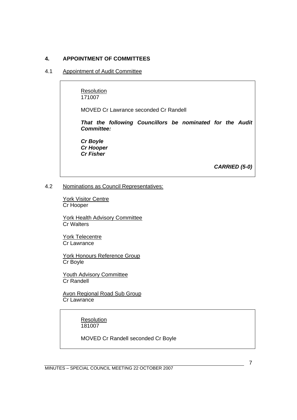#### **4. APPOINTMENT OF COMMITTEES**

#### 4.1 Appointment of Audit Committee

 Resolution 171007

MOVED Cr Lawrance seconded Cr Randell

*That the following Councillors be nominated for the Audit Committee:* 

 *Cr Boyle Cr Hooper Cr Fisher* 

*CARRIED (5-0)* 

#### 4.2 Nominations as Council Representatives:

 York Visitor Centre Cr Hooper

 York Health Advisory Committee Cr Walters

> York Telecentre Cr Lawrance

 York Honours Reference Group Cr Boyle

Youth Advisory Committee Cr Randell

 Avon Regional Road Sub Group Cr Lawrance

> **Resolution** 181007

MOVED Cr Randell seconded Cr Boyle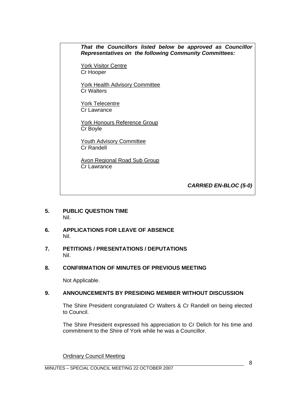*That the Councillors listed below be approved as Councillor Representatives on the following Community Committees:* 

York Visitor Centre Cr Hooper

 York Health Advisory Committee Cr Walters

 York Telecentre Cr Lawrance

 York Honours Reference Group Cr Boyle

Youth Advisory Committee Cr Randell

 Avon Regional Road Sub Group Cr Lawrance

*CARRIED EN-BLOC (5-0)* 

- **5. PUBLIC QUESTION TIME**  Nil.
- **6. APPLICATIONS FOR LEAVE OF ABSENCE**  Nil.
- **7. PETITIONS / PRESENTATIONS / DEPUTATIONS**  Nil.
- **8. CONFIRMATION OF MINUTES OF PREVIOUS MEETING**

Not Applicable.

#### **9. ANNOUNCEMENTS BY PRESIDING MEMBER WITHOUT DISCUSSION**

 The Shire President congratulated Cr Walters & Cr Randell on being elected to Council.

 The Shire President expressed his appreciation to Cr Delich for his time and commitment to the Shire of York while he was a Councillor.

Ordinary Council Meeting

MINUTES – SPECIAL COUNCIL MEETING 22 OCTOBER 2007